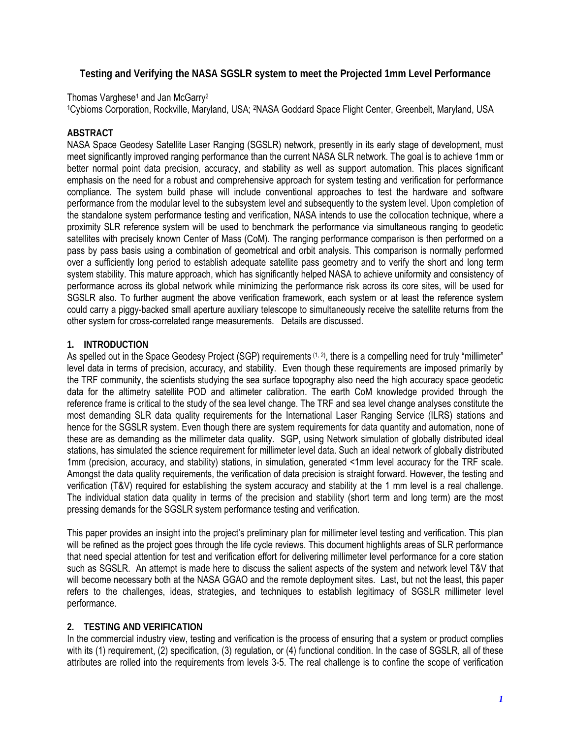# **Testing and Verifying the NASA SGSLR system to meet the Projected 1mm Level Performance**

Thomas Varghese<sup>1</sup> and Jan McGarry<sup>2</sup>

1Cybioms Corporation, Rockville, Maryland, USA; 2NASA Goddard Space Flight Center, Greenbelt, Maryland, USA

# **ABSTRACT**

NASA Space Geodesy Satellite Laser Ranging (SGSLR) network, presently in its early stage of development, must meet significantly improved ranging performance than the current NASA SLR network. The goal is to achieve 1mm or better normal point data precision, accuracy, and stability as well as support automation. This places significant emphasis on the need for a robust and comprehensive approach for system testing and verification for performance compliance. The system build phase will include conventional approaches to test the hardware and software performance from the modular level to the subsystem level and subsequently to the system level. Upon completion of the standalone system performance testing and verification, NASA intends to use the collocation technique, where a proximity SLR reference system will be used to benchmark the performance via simultaneous ranging to geodetic satellites with precisely known Center of Mass (CoM). The ranging performance comparison is then performed on a pass by pass basis using a combination of geometrical and orbit analysis. This comparison is normally performed over a sufficiently long period to establish adequate satellite pass geometry and to verify the short and long term system stability. This mature approach, which has significantly helped NASA to achieve uniformity and consistency of performance across its global network while minimizing the performance risk across its core sites, will be used for SGSLR also. To further augment the above verification framework, each system or at least the reference system could carry a piggy-backed small aperture auxiliary telescope to simultaneously receive the satellite returns from the other system for cross-correlated range measurements. Details are discussed.

### **1. INTRODUCTION**

As spelled out in the Space Geodesy Project (SGP) requirements (1, 2), there is a compelling need for truly "millimeter" level data in terms of precision, accuracy, and stability. Even though these requirements are imposed primarily by the TRF community, the scientists studying the sea surface topography also need the high accuracy space geodetic data for the altimetry satellite POD and altimeter calibration. The earth CoM knowledge provided through the reference frame is critical to the study of the sea level change. The TRF and sea level change analyses constitute the most demanding SLR data quality requirements for the International Laser Ranging Service (ILRS) stations and hence for the SGSLR system. Even though there are system requirements for data quantity and automation, none of these are as demanding as the millimeter data quality. SGP, using Network simulation of globally distributed ideal stations, has simulated the science requirement for millimeter level data. Such an ideal network of globally distributed 1mm (precision, accuracy, and stability) stations, in simulation, generated <1mm level accuracy for the TRF scale. Amongst the data quality requirements, the verification of data precision is straight forward. However, the testing and verification (T&V) required for establishing the system accuracy and stability at the 1 mm level is a real challenge. The individual station data quality in terms of the precision and stability (short term and long term) are the most pressing demands for the SGSLR system performance testing and verification.

This paper provides an insight into the project's preliminary plan for millimeter level testing and verification. This plan will be refined as the project goes through the life cycle reviews. This document highlights areas of SLR performance that need special attention for test and verification effort for delivering millimeter level performance for a core station such as SGSLR. An attempt is made here to discuss the salient aspects of the system and network level T&V that will become necessary both at the NASA GGAO and the remote deployment sites. Last, but not the least, this paper refers to the challenges, ideas, strategies, and techniques to establish legitimacy of SGSLR millimeter level performance.

# **2. TESTING AND VERIFICATION**

In the commercial industry view, testing and verification is the process of ensuring that a system or product complies with its (1) requirement, (2) specification, (3) regulation, or (4) functional condition. In the case of SGSLR, all of these attributes are rolled into the requirements from levels 3-5. The real challenge is to confine the scope of verification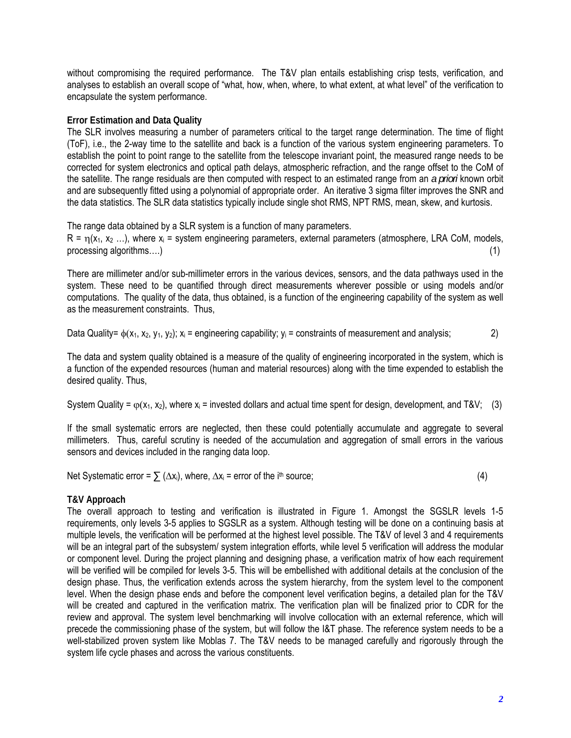without compromising the required performance. The T&V plan entails establishing crisp tests, verification, and analyses to establish an overall scope of "what, how, when, where, to what extent, at what level" of the verification to encapsulate the system performance.

### **Error Estimation and Data Quality**

The SLR involves measuring a number of parameters critical to the target range determination. The time of flight (ToF), i.e., the 2-way time to the satellite and back is a function of the various system engineering parameters. To establish the point to point range to the satellite from the telescope invariant point, the measured range needs to be corrected for system electronics and optical path delays, atmospheric refraction, and the range offset to the CoM of the satellite. The range residuals are then computed with respect to an estimated range from an *a priori* known orbit and are subsequently fitted using a polynomial of appropriate order. An iterative 3 sigma filter improves the SNR and the data statistics. The SLR data statistics typically include single shot RMS, NPT RMS, mean, skew, and kurtosis.

The range data obtained by a SLR system is a function of many parameters.

 $R = n(x_1, x_2, ...)$ , where  $x_i$  = system engineering parameters, external parameters (atmosphere, LRA CoM, models, processing algorithms....) (1) (1)

There are millimeter and/or sub-millimeter errors in the various devices, sensors, and the data pathways used in the system. These need to be quantified through direct measurements wherever possible or using models and/or computations. The quality of the data, thus obtained, is a function of the engineering capability of the system as well as the measurement constraints. Thus,

Data Quality=  $\phi(x_1, x_2, y_1, y_2)$ ;  $x_i$  = engineering capability;  $y_i$  = constraints of measurement and analysis; 2)

The data and system quality obtained is a measure of the quality of engineering incorporated in the system, which is a function of the expended resources (human and material resources) along with the time expended to establish the desired quality. Thus,

System Quality =  $\varphi(x_1, x_2)$ , where  $x_i$  = invested dollars and actual time spent for design, development, and T&V; (3)

If the small systematic errors are neglected, then these could potentially accumulate and aggregate to several millimeters. Thus, careful scrutiny is needed of the accumulation and aggregation of small errors in the various sensors and devices included in the ranging data loop.

Net Systematic error =  $\sum (\Delta x_i)$ , where,  $\Delta x_i$  = error of the i<sup>th</sup> source; (4)

# **T&V Approach**

The overall approach to testing and verification is illustrated in Figure 1. Amongst the SGSLR levels 1-5 requirements, only levels 3-5 applies to SGSLR as a system. Although testing will be done on a continuing basis at multiple levels, the verification will be performed at the highest level possible. The T&V of level 3 and 4 requirements will be an integral part of the subsystem/ system integration efforts, while level 5 verification will address the modular or component level. During the project planning and designing phase, a verification matrix of how each requirement will be verified will be compiled for levels 3-5. This will be embellished with additional details at the conclusion of the design phase. Thus, the verification extends across the system hierarchy, from the system level to the component level. When the design phase ends and before the component level verification begins, a detailed plan for the T&V will be created and captured in the verification matrix. The verification plan will be finalized prior to CDR for the review and approval. The system level benchmarking will involve collocation with an external reference, which will precede the commissioning phase of the system, but will follow the I&T phase. The reference system needs to be a well-stabilized proven system like Moblas 7. The T&V needs to be managed carefully and rigorously through the system life cycle phases and across the various constituents.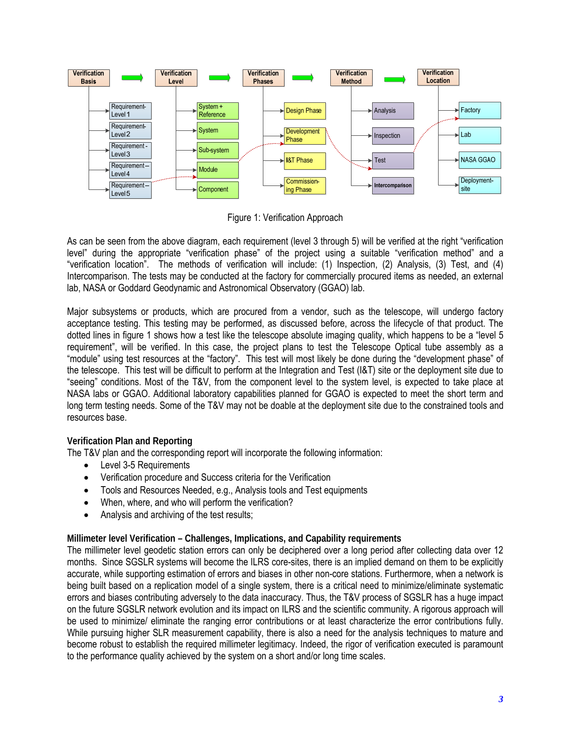

Figure 1: Verification Approach

As can be seen from the above diagram, each requirement (level 3 through 5) will be verified at the right "verification level" during the appropriate "verification phase" of the project using a suitable "verification method" and a "verification location". The methods of verification will include: (1) Inspection, (2) Analysis, (3) Test, and (4) Intercomparison. The tests may be conducted at the factory for commercially procured items as needed, an external lab, NASA or Goddard Geodynamic and Astronomical Observatory (GGAO) lab.

Major subsystems or products, which are procured from a vendor, such as the telescope, will undergo factory acceptance testing. This testing may be performed, as discussed before, across the lifecycle of that product. The dotted lines in figure 1 shows how a test like the telescope absolute imaging quality, which happens to be a "level 5 requirement", will be verified. In this case, the project plans to test the Telescope Optical tube assembly as a "module" using test resources at the "factory". This test will most likely be done during the "development phase" of the telescope. This test will be difficult to perform at the Integration and Test (I&T) site or the deployment site due to "seeing" conditions. Most of the T&V, from the component level to the system level, is expected to take place at NASA labs or GGAO. Additional laboratory capabilities planned for GGAO is expected to meet the short term and long term testing needs. Some of the T&V may not be doable at the deployment site due to the constrained tools and resources base.

# **Verification Plan and Reporting**

The T&V plan and the corresponding report will incorporate the following information:

- Level 3-5 Requirements
- Verification procedure and Success criteria for the Verification
- Tools and Resources Needed, e.g., Analysis tools and Test equipments
- When, where, and who will perform the verification?
- Analysis and archiving of the test results:

# **Millimeter level Verification – Challenges, Implications, and Capability requirements**

The millimeter level geodetic station errors can only be deciphered over a long period after collecting data over 12 months. Since SGSLR systems will become the ILRS core-sites, there is an implied demand on them to be explicitly accurate, while supporting estimation of errors and biases in other non-core stations. Furthermore, when a network is being built based on a replication model of a single system, there is a critical need to minimize/eliminate systematic errors and biases contributing adversely to the data inaccuracy. Thus, the T&V process of SGSLR has a huge impact on the future SGSLR network evolution and its impact on ILRS and the scientific community. A rigorous approach will be used to minimize/ eliminate the ranging error contributions or at least characterize the error contributions fully. While pursuing higher SLR measurement capability, there is also a need for the analysis techniques to mature and become robust to establish the required millimeter legitimacy. Indeed, the rigor of verification executed is paramount to the performance quality achieved by the system on a short and/or long time scales.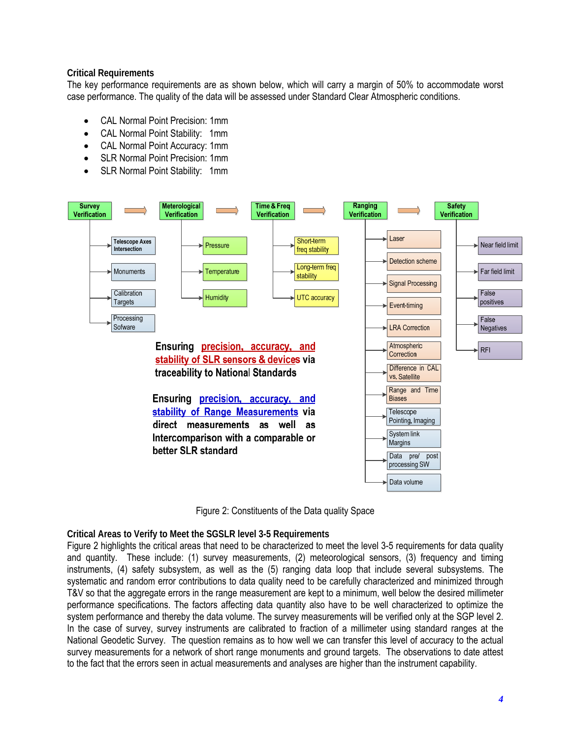### **Critical Requirements**

The key performance requirements are as shown below, which will carry a margin of 50% to accommodate worst case performance. The quality of the data will be assessed under Standard Clear Atmospheric conditions.

- CAL Normal Point Precision: 1mm
- CAL Normal Point Stability: 1mm
- CAL Normal Point Accuracy: 1mm
- SLR Normal Point Precision: 1mm
- SLR Normal Point Stability: 1mm



Figure 2: Constituents of the Data quality Space

#### **Critical Areas to Verify to Meet the SGSLR level 3-5 Requirements**

Figure 2 highlights the critical areas that need to be characterized to meet the level 3-5 requirements for data quality and quantity. These include: (1) survey measurements, (2) meteorological sensors, (3) frequency and timing instruments, (4) safety subsystem, as well as the (5) ranging data loop that include several subsystems. The systematic and random error contributions to data quality need to be carefully characterized and minimized through T&V so that the aggregate errors in the range measurement are kept to a minimum, well below the desired millimeter performance specifications. The factors affecting data quantity also have to be well characterized to optimize the system performance and thereby the data volume. The survey measurements will be verified only at the SGP level 2. In the case of survey, survey instruments are calibrated to fraction of a millimeter using standard ranges at the National Geodetic Survey. The question remains as to how well we can transfer this level of accuracy to the actual survey measurements for a network of short range monuments and ground targets. The observations to date attest to the fact that the errors seen in actual measurements and analyses are higher than the instrument capability.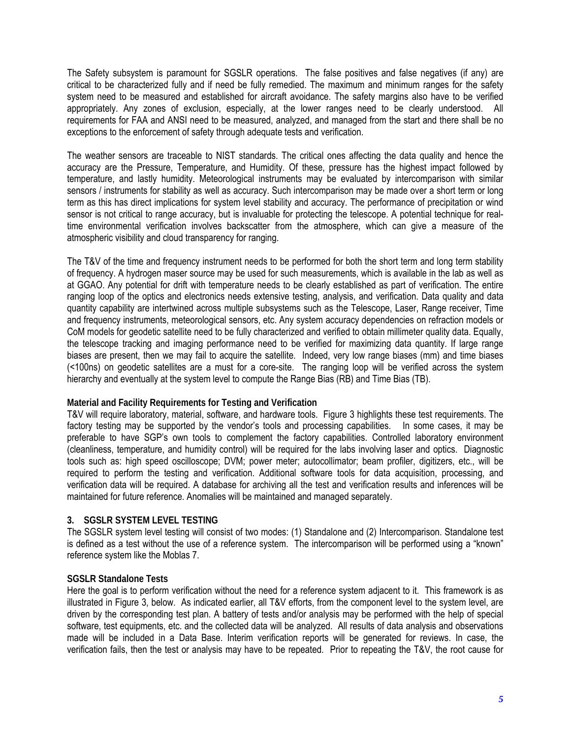The Safety subsystem is paramount for SGSLR operations. The false positives and false negatives (if any) are critical to be characterized fully and if need be fully remedied. The maximum and minimum ranges for the safety system need to be measured and established for aircraft avoidance. The safety margins also have to be verified appropriately. Any zones of exclusion, especially, at the lower ranges need to be clearly understood. All requirements for FAA and ANSI need to be measured, analyzed, and managed from the start and there shall be no exceptions to the enforcement of safety through adequate tests and verification.

The weather sensors are traceable to NIST standards. The critical ones affecting the data quality and hence the accuracy are the Pressure, Temperature, and Humidity. Of these, pressure has the highest impact followed by temperature, and lastly humidity. Meteorological instruments may be evaluated by intercomparison with similar sensors / instruments for stability as well as accuracy. Such intercomparison may be made over a short term or long term as this has direct implications for system level stability and accuracy. The performance of precipitation or wind sensor is not critical to range accuracy, but is invaluable for protecting the telescope. A potential technique for realtime environmental verification involves backscatter from the atmosphere, which can give a measure of the atmospheric visibility and cloud transparency for ranging.

The T&V of the time and frequency instrument needs to be performed for both the short term and long term stability of frequency. A hydrogen maser source may be used for such measurements, which is available in the lab as well as at GGAO. Any potential for drift with temperature needs to be clearly established as part of verification. The entire ranging loop of the optics and electronics needs extensive testing, analysis, and verification. Data quality and data quantity capability are intertwined across multiple subsystems such as the Telescope, Laser, Range receiver, Time and frequency instruments, meteorological sensors, etc. Any system accuracy dependencies on refraction models or CoM models for geodetic satellite need to be fully characterized and verified to obtain millimeter quality data. Equally, the telescope tracking and imaging performance need to be verified for maximizing data quantity. If large range biases are present, then we may fail to acquire the satellite. Indeed, very low range biases (mm) and time biases (<100ns) on geodetic satellites are a must for a core-site. The ranging loop will be verified across the system hierarchy and eventually at the system level to compute the Range Bias (RB) and Time Bias (TB).

#### **Material and Facility Requirements for Testing and Verification**

T&V will require laboratory, material, software, and hardware tools. Figure 3 highlights these test requirements. The factory testing may be supported by the vendor's tools and processing capabilities. In some cases, it may be preferable to have SGP's own tools to complement the factory capabilities. Controlled laboratory environment (cleanliness, temperature, and humidity control) will be required for the labs involving laser and optics. Diagnostic tools such as: high speed oscilloscope; DVM; power meter; autocollimator; beam profiler, digitizers, etc., will be required to perform the testing and verification. Additional software tools for data acquisition, processing, and verification data will be required. A database for archiving all the test and verification results and inferences will be maintained for future reference. Anomalies will be maintained and managed separately.

#### **3. SGSLR SYSTEM LEVEL TESTING**

The SGSLR system level testing will consist of two modes: (1) Standalone and (2) Intercomparison. Standalone test is defined as a test without the use of a reference system. The intercomparison will be performed using a "known" reference system like the Moblas 7.

#### **SGSLR Standalone Tests**

Here the goal is to perform verification without the need for a reference system adjacent to it. This framework is as illustrated in Figure 3, below. As indicated earlier, all T&V efforts, from the component level to the system level, are driven by the corresponding test plan. A battery of tests and/or analysis may be performed with the help of special software, test equipments, etc. and the collected data will be analyzed. All results of data analysis and observations made will be included in a Data Base. Interim verification reports will be generated for reviews. In case, the verification fails, then the test or analysis may have to be repeated. Prior to repeating the T&V, the root cause for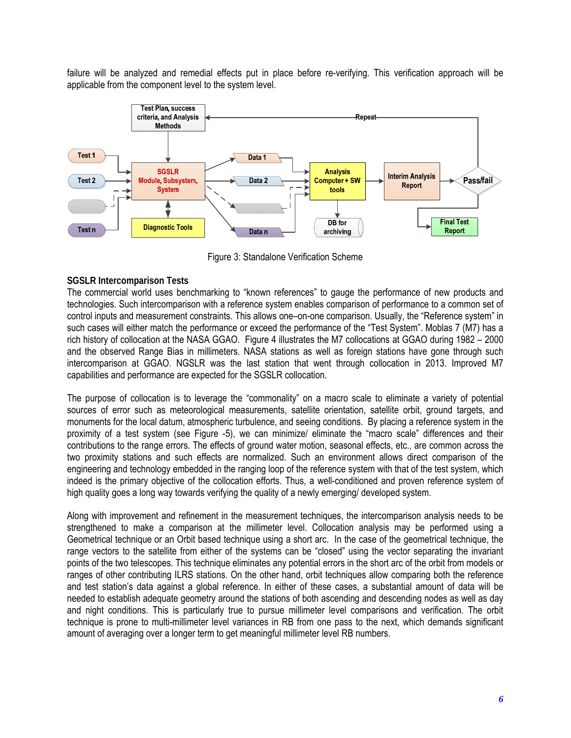failure will be analyzed and remedial effects put in place before re-verifying. This verification approach will be applicable from the component level to the system level.



Figure 3: Standalone Verification Scheme

### **SGSLR Intercomparison Tests**

The commercial world uses benchmarking to "known references" to gauge the performance of new products and technologies. Such intercomparison with a reference system enables comparison of performance to a common set of control inputs and measurement constraints. This allows one–on-one comparison. Usually, the "Reference system" in such cases will either match the performance or exceed the performance of the "Test System". Moblas 7 (M7) has a rich history of collocation at the NASA GGAO. Figure 4 illustrates the M7 collocations at GGAO during 1982 – 2000 and the observed Range Bias in millimeters. NASA stations as well as foreign stations have gone through such intercomparison at GGAO. NGSLR was the last station that went through collocation in 2013. Improved M7 capabilities and performance are expected for the SGSLR collocation.

The purpose of collocation is to leverage the "commonality" on a macro scale to eliminate a variety of potential sources of error such as meteorological measurements, satellite orientation, satellite orbit, ground targets, and monuments for the local datum, atmospheric turbulence, and seeing conditions. By placing a reference system in the proximity of a test system (see Figure -5), we can minimize/ eliminate the "macro scale" differences and their contributions to the range errors. The effects of ground water motion, seasonal effects, etc., are common across the two proximity stations and such effects are normalized. Such an environment allows direct comparison of the engineering and technology embedded in the ranging loop of the reference system with that of the test system, which indeed is the primary objective of the collocation efforts. Thus, a well-conditioned and proven reference system of high quality goes a long way towards verifying the quality of a newly emerging/ developed system.

Along with improvement and refinement in the measurement techniques, the intercomparison analysis needs to be strengthened to make a comparison at the millimeter level. Collocation analysis may be performed using a Geometrical technique or an Orbit based technique using a short arc. In the case of the geometrical technique, the range vectors to the satellite from either of the systems can be "closed" using the vector separating the invariant points of the two telescopes. This technique eliminates any potential errors in the short arc of the orbit from models or ranges of other contributing ILRS stations. On the other hand, orbit techniques allow comparing both the reference and test station's data against a global reference. In either of these cases, a substantial amount of data will be needed to establish adequate geometry around the stations of both ascending and descending nodes as well as day and night conditions. This is particularly true to pursue millimeter level comparisons and verification. The orbit technique is prone to multi-millimeter level variances in RB from one pass to the next, which demands significant amount of averaging over a longer term to get meaningful millimeter level RB numbers.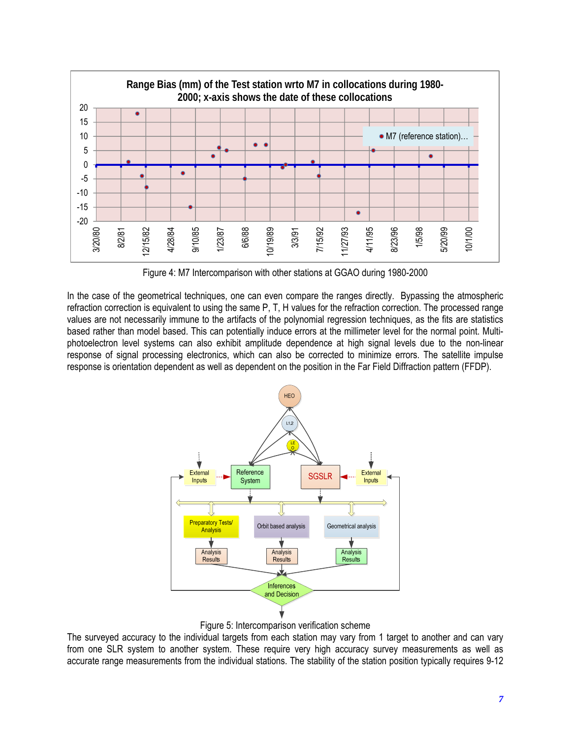

Figure 4: M7 Intercomparison with other stations at GGAO during 1980-2000

In the case of the geometrical techniques, one can even compare the ranges directly. Bypassing the atmospheric refraction correction is equivalent to using the same P, T, H values for the refraction correction. The processed range values are not necessarily immune to the artifacts of the polynomial regression techniques, as the fits are statistics based rather than model based. This can potentially induce errors at the millimeter level for the normal point. Multiphotoelectron level systems can also exhibit amplitude dependence at high signal levels due to the non-linear response of signal processing electronics, which can also be corrected to minimize errors. The satellite impulse response is orientation dependent as well as dependent on the position in the Far Field Diffraction pattern (FFDP).



Figure 5: Intercomparison verification scheme

The surveyed accuracy to the individual targets from each station may vary from 1 target to another and can vary from one SLR system to another system. These require very high accuracy survey measurements as well as accurate range measurements from the individual stations. The stability of the station position typically requires 9-12